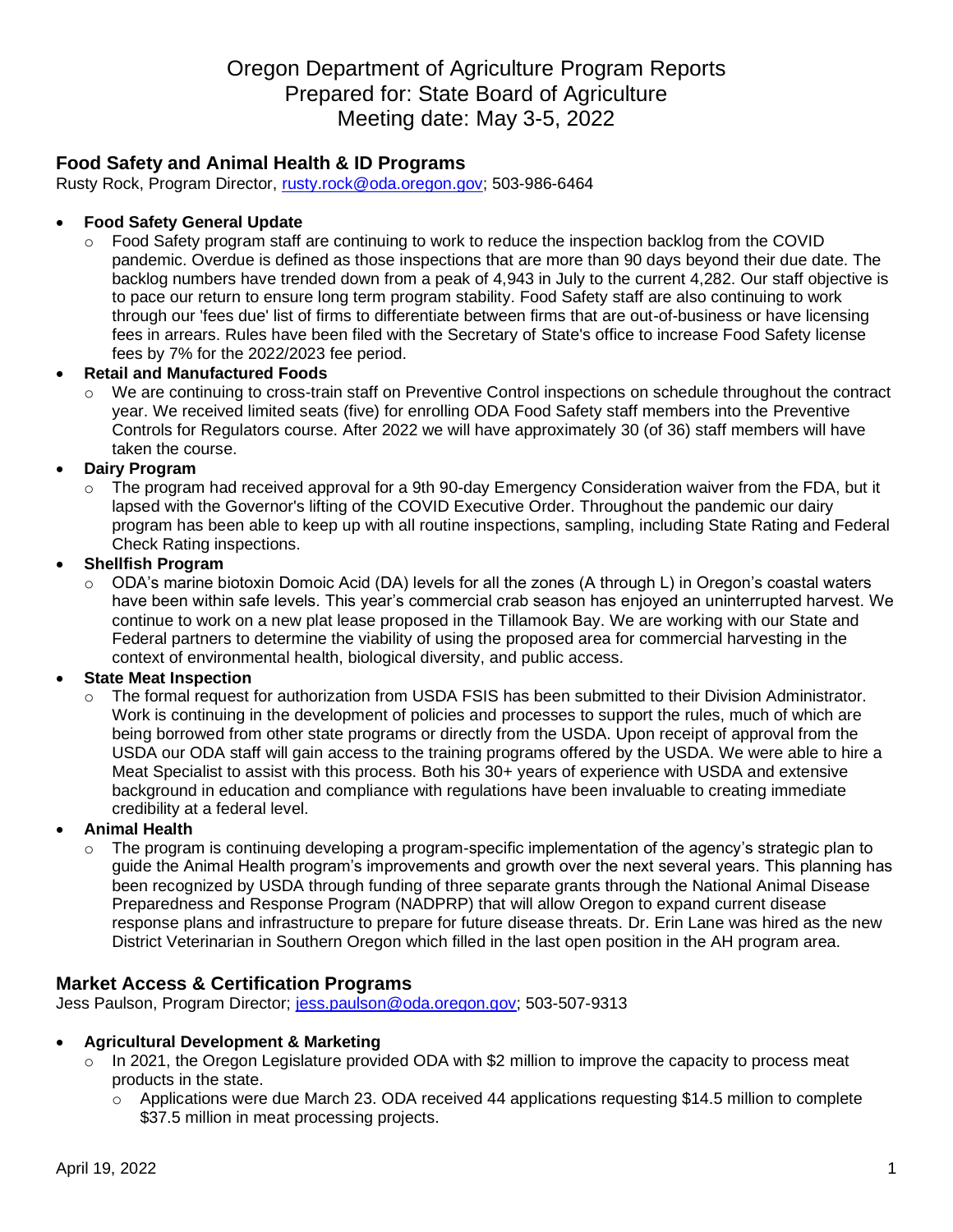# Oregon Department of Agriculture Program Reports Prepared for: State Board of Agriculture Meeting date: May 3-5, 2022

# **Food Safety and Animal Health & ID Programs**

Rusty Rock, Program Director, [rusty.rock@oda.oregon.gov;](mailto:rusty.rock@oda.oregon.gov) 503-986-6464

# • **Food Safety General Update**

o Food Safety program staff are continuing to work to reduce the inspection backlog from the COVID pandemic. Overdue is defined as those inspections that are more than 90 days beyond their due date. The backlog numbers have trended down from a peak of 4,943 in July to the current 4,282. Our staff objective is to pace our return to ensure long term program stability. Food Safety staff are also continuing to work through our 'fees due' list of firms to differentiate between firms that are out-of-business or have licensing fees in arrears. Rules have been filed with the Secretary of State's office to increase Food Safety license fees by 7% for the 2022/2023 fee period.

### • **Retail and Manufactured Foods**

o We are continuing to cross-train staff on Preventive Control inspections on schedule throughout the contract year. We received limited seats (five) for enrolling ODA Food Safety staff members into the Preventive Controls for Regulators course. After 2022 we will have approximately 30 (of 36) staff members will have taken the course.

### • **Dairy Program**

The program had received approval for a 9th 90-day Emergency Consideration waiver from the FDA, but it lapsed with the Governor's lifting of the COVID Executive Order. Throughout the pandemic our dairy program has been able to keep up with all routine inspections, sampling, including State Rating and Federal Check Rating inspections.

### • **Shellfish Program**

o ODA's marine biotoxin Domoic Acid (DA) levels for all the zones (A through L) in Oregon's coastal waters have been within safe levels. This year's commercial crab season has enjoyed an uninterrupted harvest. We continue to work on a new plat lease proposed in the Tillamook Bay. We are working with our State and Federal partners to determine the viability of using the proposed area for commercial harvesting in the context of environmental health, biological diversity, and public access.

# • **State Meat Inspection**

o The formal request for authorization from USDA FSIS has been submitted to their Division Administrator. Work is continuing in the development of policies and processes to support the rules, much of which are being borrowed from other state programs or directly from the USDA. Upon receipt of approval from the USDA our ODA staff will gain access to the training programs offered by the USDA. We were able to hire a Meat Specialist to assist with this process. Both his 30+ years of experience with USDA and extensive background in education and compliance with regulations have been invaluable to creating immediate credibility at a federal level.

# • **Animal Health**

The program is continuing developing a program-specific implementation of the agency's strategic plan to guide the Animal Health program's improvements and growth over the next several years. This planning has been recognized by USDA through funding of three separate grants through the National Animal Disease Preparedness and Response Program (NADPRP) that will allow Oregon to expand current disease response plans and infrastructure to prepare for future disease threats. Dr. Erin Lane was hired as the new District Veterinarian in Southern Oregon which filled in the last open position in the AH program area.

# **Market Access & Certification Programs**

Jess Paulson, Program Director; [jess.paulson@oda.oregon.gov;](mailto:jess.paulson@oda.oregon.gov) 503-507-9313

#### • **Agricultural Development & Marketing**

- $\circ$  In 2021, the Oregon Legislature provided ODA with \$2 million to improve the capacity to process meat products in the state.
	- $\circ$  Applications were due March 23. ODA received 44 applications requesting \$14.5 million to complete \$37.5 million in meat processing projects.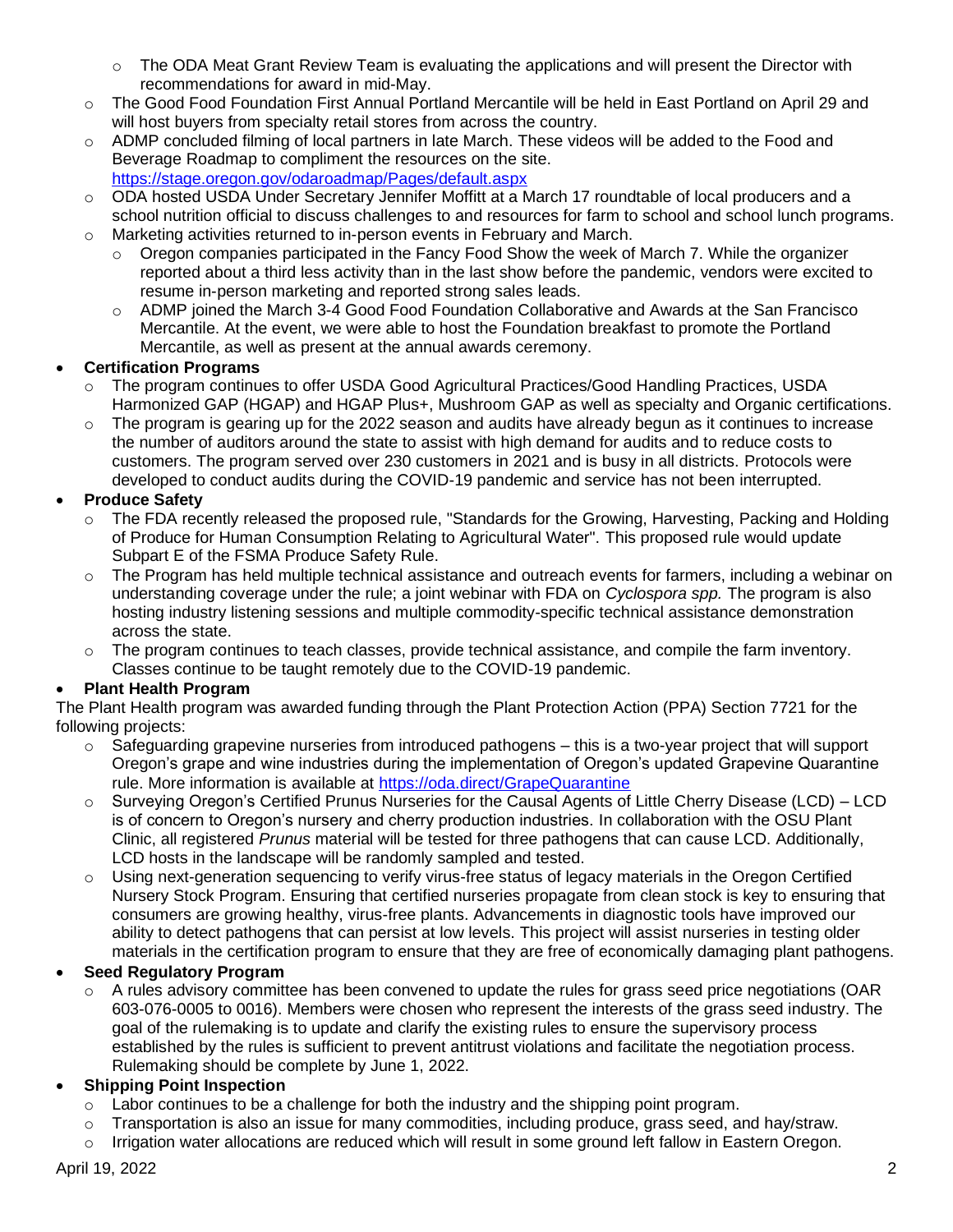- $\circ$  The ODA Meat Grant Review Team is evaluating the applications and will present the Director with recommendations for award in mid-May.
- o The Good Food Foundation First Annual Portland Mercantile will be held in East Portland on April 29 and will host buyers from specialty retail stores from across the country.
- $\circ$  ADMP concluded filming of local partners in late March. These videos will be added to the Food and Beverage Roadmap to compliment the resources on the site.
	- <https://stage.oregon.gov/odaroadmap/Pages/default.aspx>
- o ODA hosted USDA Under Secretary Jennifer Moffitt at a March 17 roundtable of local producers and a school nutrition official to discuss challenges to and resources for farm to school and school lunch programs.
- $\circ$  Marketing activities returned to in-person events in February and March.
	- Oregon companies participated in the Fancy Food Show the week of March 7. While the organizer reported about a third less activity than in the last show before the pandemic, vendors were excited to resume in-person marketing and reported strong sales leads.
	- o ADMP joined the March 3-4 Good Food Foundation Collaborative and Awards at the San Francisco Mercantile. At the event, we were able to host the Foundation breakfast to promote the Portland Mercantile, as well as present at the annual awards ceremony.

# • **Certification Programs**

- o The program continues to offer USDA Good Agricultural Practices/Good Handling Practices, USDA Harmonized GAP (HGAP) and HGAP Plus+, Mushroom GAP as well as specialty and Organic certifications.
- $\circ$  The program is gearing up for the 2022 season and audits have already begun as it continues to increase the number of auditors around the state to assist with high demand for audits and to reduce costs to customers. The program served over 230 customers in 2021 and is busy in all districts. Protocols were developed to conduct audits during the COVID-19 pandemic and service has not been interrupted.

# • **Produce Safety**

- o The FDA recently released the proposed rule, "Standards for the Growing, Harvesting, Packing and Holding of Produce for Human Consumption Relating to Agricultural Water". This proposed rule would update Subpart E of the FSMA Produce Safety Rule.
- o The Program has held multiple technical assistance and outreach events for farmers, including a webinar on understanding coverage under the rule; a joint webinar with FDA on *Cyclospora spp.* The program is also hosting industry listening sessions and multiple commodity-specific technical assistance demonstration across the state.
- o The program continues to teach classes, provide technical assistance, and compile the farm inventory. Classes continue to be taught remotely due to the COVID-19 pandemic.

# • **Plant Health Program**

The Plant Health program was awarded funding through the Plant Protection Action (PPA) Section 7721 for the following projects:

- $\circ$  Safeguarding grapevine nurseries from introduced pathogens this is a two-year project that will support Oregon's grape and wine industries during the implementation of Oregon's updated Grapevine Quarantine rule. More information is available at <https://oda.direct/GrapeQuarantine>
- $\circ$  Surveying Oregon's Certified Prunus Nurseries for the Causal Agents of Little Cherry Disease (LCD) LCD is of concern to Oregon's nursery and cherry production industries. In collaboration with the OSU Plant Clinic, all registered *Prunus* material will be tested for three pathogens that can cause LCD. Additionally, LCD hosts in the landscape will be randomly sampled and tested.
- o Using next-generation sequencing to verify virus-free status of legacy materials in the Oregon Certified Nursery Stock Program. Ensuring that certified nurseries propagate from clean stock is key to ensuring that consumers are growing healthy, virus-free plants. Advancements in diagnostic tools have improved our ability to detect pathogens that can persist at low levels. This project will assist nurseries in testing older materials in the certification program to ensure that they are free of economically damaging plant pathogens.

# • **Seed Regulatory Program**

 $\circ$  A rules advisory committee has been convened to update the rules for grass seed price negotiations (OAR 603-076-0005 to 0016). Members were chosen who represent the interests of the grass seed industry. The goal of the rulemaking is to update and clarify the existing rules to ensure the supervisory process established by the rules is sufficient to prevent antitrust violations and facilitate the negotiation process. Rulemaking should be complete by June 1, 2022.

# • **Shipping Point Inspection**

- o Labor continues to be a challenge for both the industry and the shipping point program.
- o Transportation is also an issue for many commodities, including produce, grass seed, and hay/straw.
- $\circ$  Irrigation water allocations are reduced which will result in some ground left fallow in Eastern Oregon.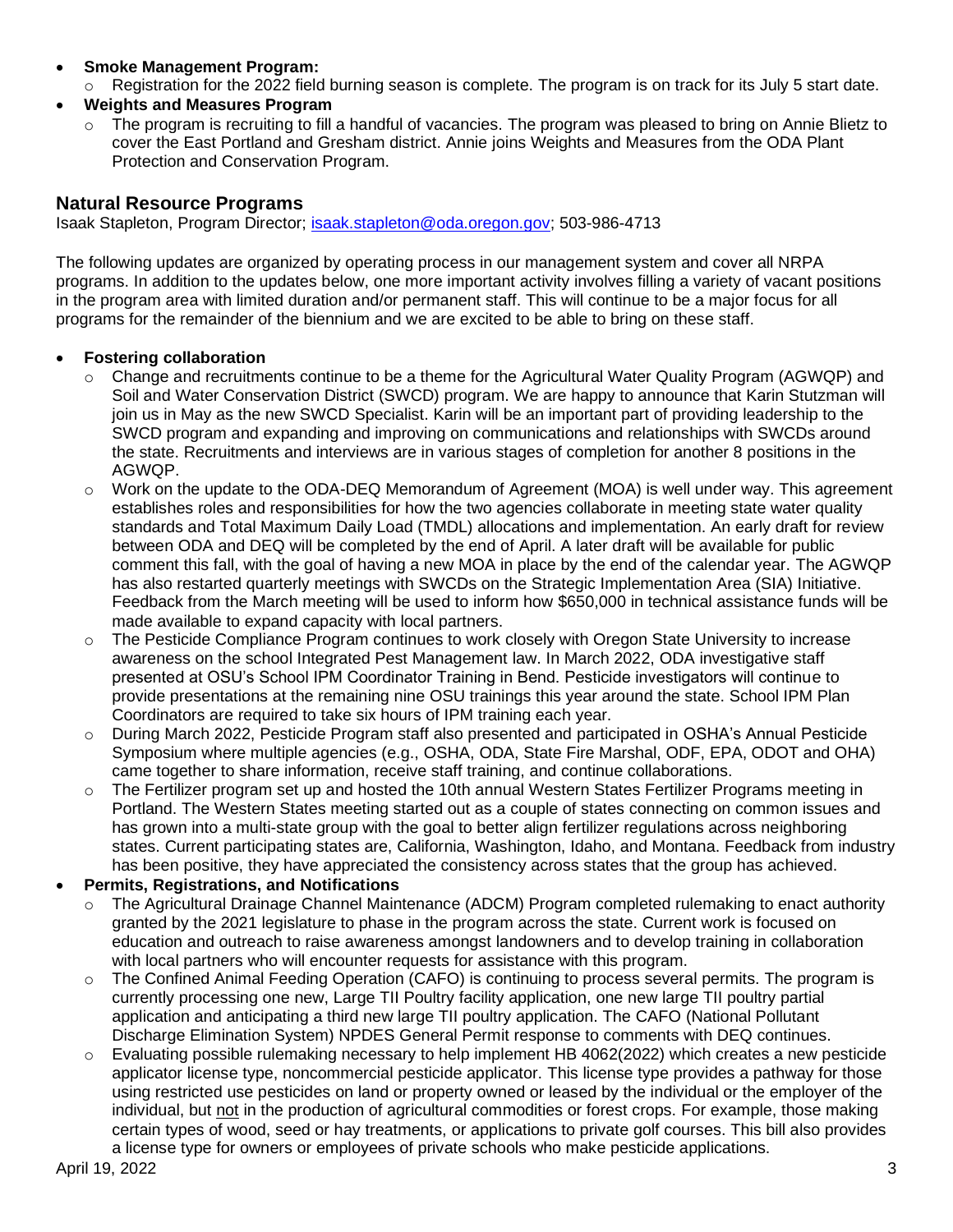- **Smoke Management Program:** 
	- Registration for the 2022 field burning season is complete. The program is on track for its July 5 start date.
- **Weights and Measures Program**
	- The program is recruiting to fill a handful of vacancies. The program was pleased to bring on Annie Blietz to cover the East Portland and Gresham district. Annie joins Weights and Measures from the ODA Plant Protection and Conservation Program.

# **Natural Resource Programs**

Isaak Stapleton, Program Director; [isaak.stapleton@oda.oregon.gov;](mailto:isaak.stapleton@oda.oregon.gov) 503-986-4713

The following updates are organized by operating process in our management system and cover all NRPA programs. In addition to the updates below, one more important activity involves filling a variety of vacant positions in the program area with limited duration and/or permanent staff. This will continue to be a major focus for all programs for the remainder of the biennium and we are excited to be able to bring on these staff.

#### • **Fostering collaboration**

- o Change and recruitments continue to be a theme for the Agricultural Water Quality Program (AGWQP) and Soil and Water Conservation District (SWCD) program. We are happy to announce that Karin Stutzman will join us in May as the new SWCD Specialist. Karin will be an important part of providing leadership to the SWCD program and expanding and improving on communications and relationships with SWCDs around the state. Recruitments and interviews are in various stages of completion for another 8 positions in the AGWQP.
- $\circ$  Work on the update to the ODA-DEQ Memorandum of Agreement (MOA) is well under way. This agreement establishes roles and responsibilities for how the two agencies collaborate in meeting state water quality standards and Total Maximum Daily Load (TMDL) allocations and implementation. An early draft for review between ODA and DEQ will be completed by the end of April. A later draft will be available for public comment this fall, with the goal of having a new MOA in place by the end of the calendar year. The AGWQP has also restarted quarterly meetings with SWCDs on the Strategic Implementation Area (SIA) Initiative. Feedback from the March meeting will be used to inform how \$650,000 in technical assistance funds will be made available to expand capacity with local partners.
- $\circ$  The Pesticide Compliance Program continues to work closely with Oregon State University to increase awareness on the school Integrated Pest Management law. In March 2022, ODA investigative staff presented at OSU's School IPM Coordinator Training in Bend. Pesticide investigators will continue to provide presentations at the remaining nine OSU trainings this year around the state. School IPM Plan Coordinators are required to take six hours of IPM training each year.
- During March 2022, Pesticide Program staff also presented and participated in OSHA's Annual Pesticide Symposium where multiple agencies (e.g., OSHA, ODA, State Fire Marshal, ODF, EPA, ODOT and OHA) came together to share information, receive staff training, and continue collaborations.
- $\circ$  The Fertilizer program set up and hosted the 10th annual Western States Fertilizer Programs meeting in Portland. The Western States meeting started out as a couple of states connecting on common issues and has grown into a multi-state group with the goal to better align fertilizer regulations across neighboring states. Current participating states are, California, Washington, Idaho, and Montana. Feedback from industry has been positive, they have appreciated the consistency across states that the group has achieved.

#### • **Permits, Registrations, and Notifications**

- o The Agricultural Drainage Channel Maintenance (ADCM) Program completed rulemaking to enact authority granted by the 2021 legislature to phase in the program across the state. Current work is focused on education and outreach to raise awareness amongst landowners and to develop training in collaboration with local partners who will encounter requests for assistance with this program.
- $\circ$  The Confined Animal Feeding Operation (CAFO) is continuing to process several permits. The program is currently processing one new, Large TII Poultry facility application, one new large TII poultry partial application and anticipating a third new large TII poultry application. The CAFO (National Pollutant Discharge Elimination System) NPDES General Permit response to comments with DEQ continues.
- Evaluating possible rulemaking necessary to help implement HB 4062(2022) which creates a new pesticide applicator license type, noncommercial pesticide applicator. This license type provides a pathway for those using restricted use pesticides on land or property owned or leased by the individual or the employer of the individual, but not in the production of agricultural commodities or forest crops. For example, those making certain types of wood, seed or hay treatments, or applications to private golf courses. This bill also provides a license type for owners or employees of private schools who make pesticide applications.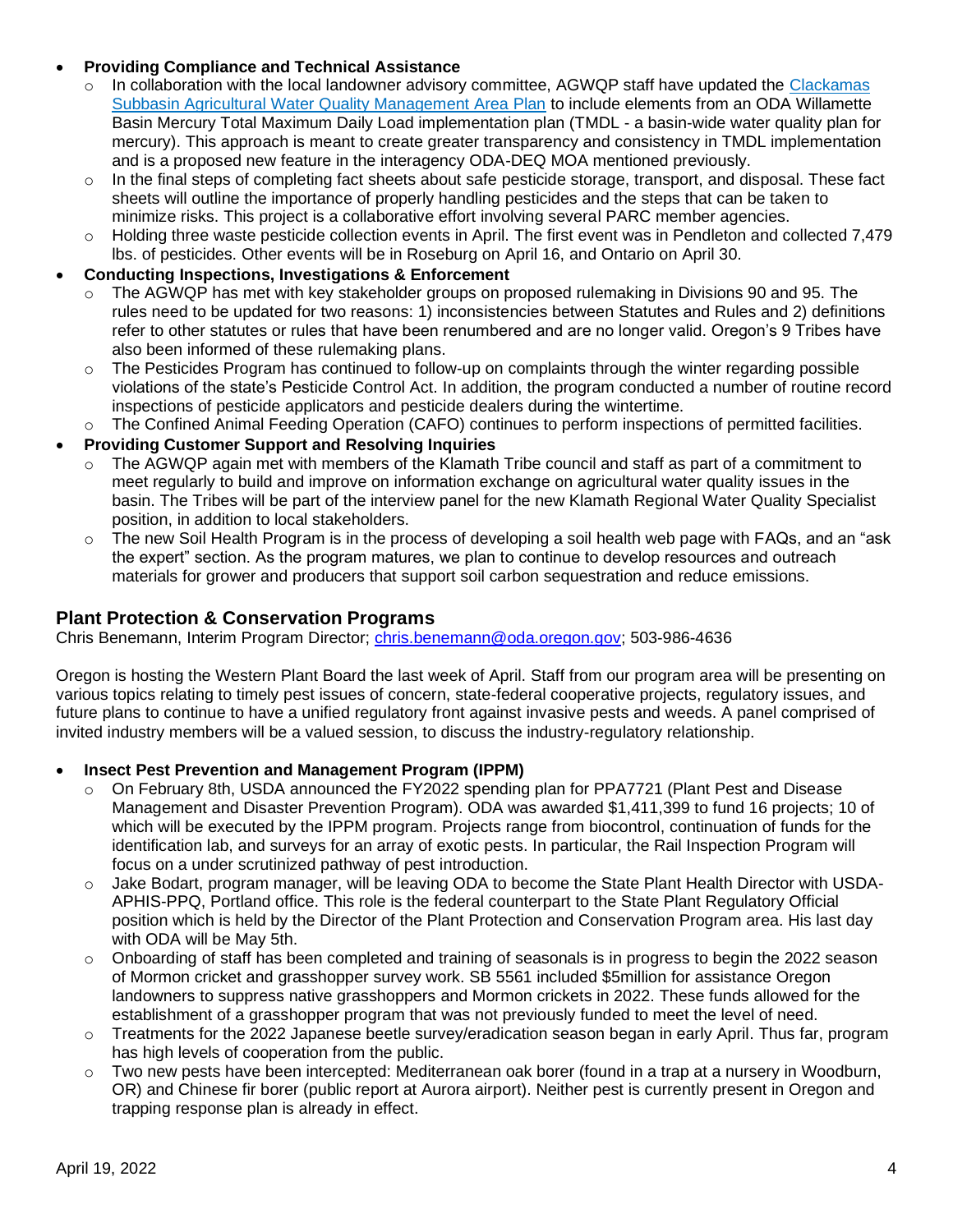### • **Providing Compliance and Technical Assistance**

- $\circ$  In collaboration with the local landowner advisory committee, AGWQP staff have updated the Clackamas [Subbasin Agricultural Water Quality Management Area Plan](https://www.oregon.gov/oda/shared/Documents/Publications/NaturalResources/ClackamasAWQMAreaPlan.pdf) to include elements from an ODA Willamette Basin Mercury Total Maximum Daily Load implementation plan (TMDL - a basin-wide water quality plan for mercury). This approach is meant to create greater transparency and consistency in TMDL implementation and is a proposed new feature in the interagency ODA-DEQ MOA mentioned previously.
- $\circ$  In the final steps of completing fact sheets about safe pesticide storage, transport, and disposal. These fact sheets will outline the importance of properly handling pesticides and the steps that can be taken to minimize risks. This project is a collaborative effort involving several PARC member agencies.
- $\circ$  Holding three waste pesticide collection events in April. The first event was in Pendleton and collected 7,479 lbs. of pesticides. Other events will be in Roseburg on April 16, and Ontario on April 30.

### • **Conducting Inspections, Investigations & Enforcement**

- The AGWQP has met with key stakeholder groups on proposed rulemaking in Divisions 90 and 95. The rules need to be updated for two reasons: 1) inconsistencies between Statutes and Rules and 2) definitions refer to other statutes or rules that have been renumbered and are no longer valid. Oregon's 9 Tribes have also been informed of these rulemaking plans.
- o The Pesticides Program has continued to follow-up on complaints through the winter regarding possible violations of the state's Pesticide Control Act. In addition, the program conducted a number of routine record inspections of pesticide applicators and pesticide dealers during the wintertime.
- The Confined Animal Feeding Operation (CAFO) continues to perform inspections of permitted facilities.
- **Providing Customer Support and Resolving Inquiries**
	- $\circ$  The AGWQP again met with members of the Klamath Tribe council and staff as part of a commitment to meet regularly to build and improve on information exchange on agricultural water quality issues in the basin. The Tribes will be part of the interview panel for the new Klamath Regional Water Quality Specialist position, in addition to local stakeholders.
	- $\circ$  The new Soil Health Program is in the process of developing a soil health web page with FAQs, and an "ask the expert" section. As the program matures, we plan to continue to develop resources and outreach materials for grower and producers that support soil carbon sequestration and reduce emissions.

# **Plant Protection & Conservation Programs**

Chris Benemann, Interim Program Director; [chris.benemann@oda.oregon.gov;](mailto:chris.benemann@oda.oregon.gov) 503-986-4636

Oregon is hosting the Western Plant Board the last week of April. Staff from our program area will be presenting on various topics relating to timely pest issues of concern, state-federal cooperative projects, regulatory issues, and future plans to continue to have a unified regulatory front against invasive pests and weeds. A panel comprised of invited industry members will be a valued session, to discuss the industry-regulatory relationship.

# • **Insect Pest Prevention and Management Program (IPPM)**

- o On February 8th, USDA announced the FY2022 spending plan for PPA7721 (Plant Pest and Disease Management and Disaster Prevention Program). ODA was awarded \$1,411,399 to fund 16 projects; 10 of which will be executed by the IPPM program. Projects range from biocontrol, continuation of funds for the identification lab, and surveys for an array of exotic pests. In particular, the Rail Inspection Program will focus on a under scrutinized pathway of pest introduction.
- o Jake Bodart, program manager, will be leaving ODA to become the State Plant Health Director with USDA-APHIS-PPQ, Portland office. This role is the federal counterpart to the State Plant Regulatory Official position which is held by the Director of the Plant Protection and Conservation Program area. His last day with ODA will be May 5th.
- o Onboarding of staff has been completed and training of seasonals is in progress to begin the 2022 season of Mormon cricket and grasshopper survey work. SB 5561 included \$5million for assistance Oregon landowners to suppress native grasshoppers and Mormon crickets in 2022. These funds allowed for the establishment of a grasshopper program that was not previously funded to meet the level of need.
- o Treatments for the 2022 Japanese beetle survey/eradication season began in early April. Thus far, program has high levels of cooperation from the public.
- $\circ$  Two new pests have been intercepted: Mediterranean oak borer (found in a trap at a nursery in Woodburn, OR) and Chinese fir borer (public report at Aurora airport). Neither pest is currently present in Oregon and trapping response plan is already in effect.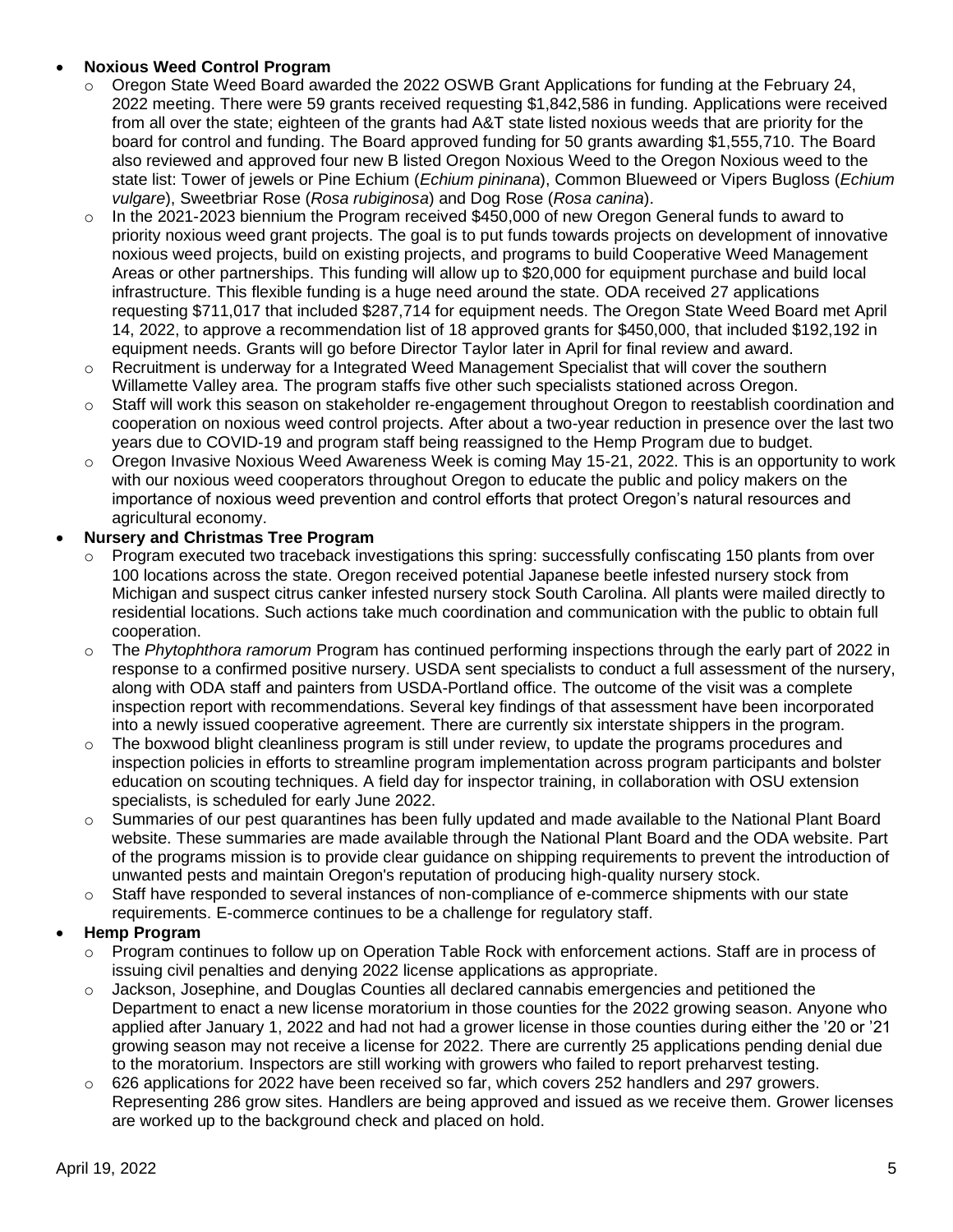### • **Noxious Weed Control Program**

- $\circ$  Oregon State Weed Board awarded the 2022 OSWB Grant Applications for funding at the February 24, 2022 meeting. There were 59 grants received requesting \$1,842,586 in funding. Applications were received from all over the state; eighteen of the grants had A&T state listed noxious weeds that are priority for the board for control and funding. The Board approved funding for 50 grants awarding \$1,555,710. The Board also reviewed and approved four new B listed Oregon Noxious Weed to the Oregon Noxious weed to the state list: Tower of jewels or Pine Echium (*Echium pininana*), Common Blueweed or Vipers Bugloss (*Echium vulgare*), Sweetbriar Rose (*Rosa rubiginosa*) and Dog Rose (*Rosa canina*).
- $\circ$  In the 2021-2023 biennium the Program received \$450,000 of new Oregon General funds to award to priority noxious weed grant projects. The goal is to put funds towards projects on development of innovative noxious weed projects, build on existing projects, and programs to build Cooperative Weed Management Areas or other partnerships. This funding will allow up to \$20,000 for equipment purchase and build local infrastructure. This flexible funding is a huge need around the state. ODA received 27 applications requesting \$711,017 that included \$287,714 for equipment needs. The Oregon State Weed Board met April 14, 2022, to approve a recommendation list of 18 approved grants for \$450,000, that included \$192,192 in equipment needs. Grants will go before Director Taylor later in April for final review and award.
- $\circ$  Recruitment is underway for a Integrated Weed Management Specialist that will cover the southern Willamette Valley area. The program staffs five other such specialists stationed across Oregon.
- Staff will work this season on stakeholder re-engagement throughout Oregon to reestablish coordination and cooperation on noxious weed control projects. After about a two-year reduction in presence over the last two years due to COVID-19 and program staff being reassigned to the Hemp Program due to budget.
- o Oregon Invasive Noxious Weed Awareness Week is coming May 15-21, 2022. This is an opportunity to work with our noxious weed cooperators throughout Oregon to educate the public and policy makers on the importance of noxious weed prevention and control efforts that protect Oregon's natural resources and agricultural economy.

#### • **Nursery and Christmas Tree Program**

- Program executed two traceback investigations this spring: successfully confiscating 150 plants from over 100 locations across the state. Oregon received potential Japanese beetle infested nursery stock from Michigan and suspect citrus canker infested nursery stock South Carolina. All plants were mailed directly to residential locations. Such actions take much coordination and communication with the public to obtain full cooperation.
- o The *Phytophthora ramorum* Program has continued performing inspections through the early part of 2022 in response to a confirmed positive nursery. USDA sent specialists to conduct a full assessment of the nursery, along with ODA staff and painters from USDA-Portland office. The outcome of the visit was a complete inspection report with recommendations. Several key findings of that assessment have been incorporated into a newly issued cooperative agreement. There are currently six interstate shippers in the program.
- $\circ$  The boxwood blight cleanliness program is still under review, to update the programs procedures and inspection policies in efforts to streamline program implementation across program participants and bolster education on scouting techniques. A field day for inspector training, in collaboration with OSU extension specialists, is scheduled for early June 2022.
- $\circ$  Summaries of our pest quarantines has been fully updated and made available to the National Plant Board website. These summaries are made available through the National Plant Board and the ODA website. Part of the programs mission is to provide clear guidance on shipping requirements to prevent the introduction of unwanted pests and maintain Oregon's reputation of producing high-quality nursery stock.
- $\circ$  Staff have responded to several instances of non-compliance of e-commerce shipments with our state requirements. E-commerce continues to be a challenge for regulatory staff.

# • **Hemp Program**

- $\circ$  Program continues to follow up on Operation Table Rock with enforcement actions. Staff are in process of issuing civil penalties and denying 2022 license applications as appropriate.
- $\circ$  Jackson, Josephine, and Douglas Counties all declared cannabis emergencies and petitioned the Department to enact a new license moratorium in those counties for the 2022 growing season. Anyone who applied after January 1, 2022 and had not had a grower license in those counties during either the '20 or '21 growing season may not receive a license for 2022. There are currently 25 applications pending denial due to the moratorium. Inspectors are still working with growers who failed to report preharvest testing.
- $\circ$  626 applications for 2022 have been received so far, which covers 252 handlers and 297 growers. Representing 286 grow sites. Handlers are being approved and issued as we receive them. Grower licenses are worked up to the background check and placed on hold.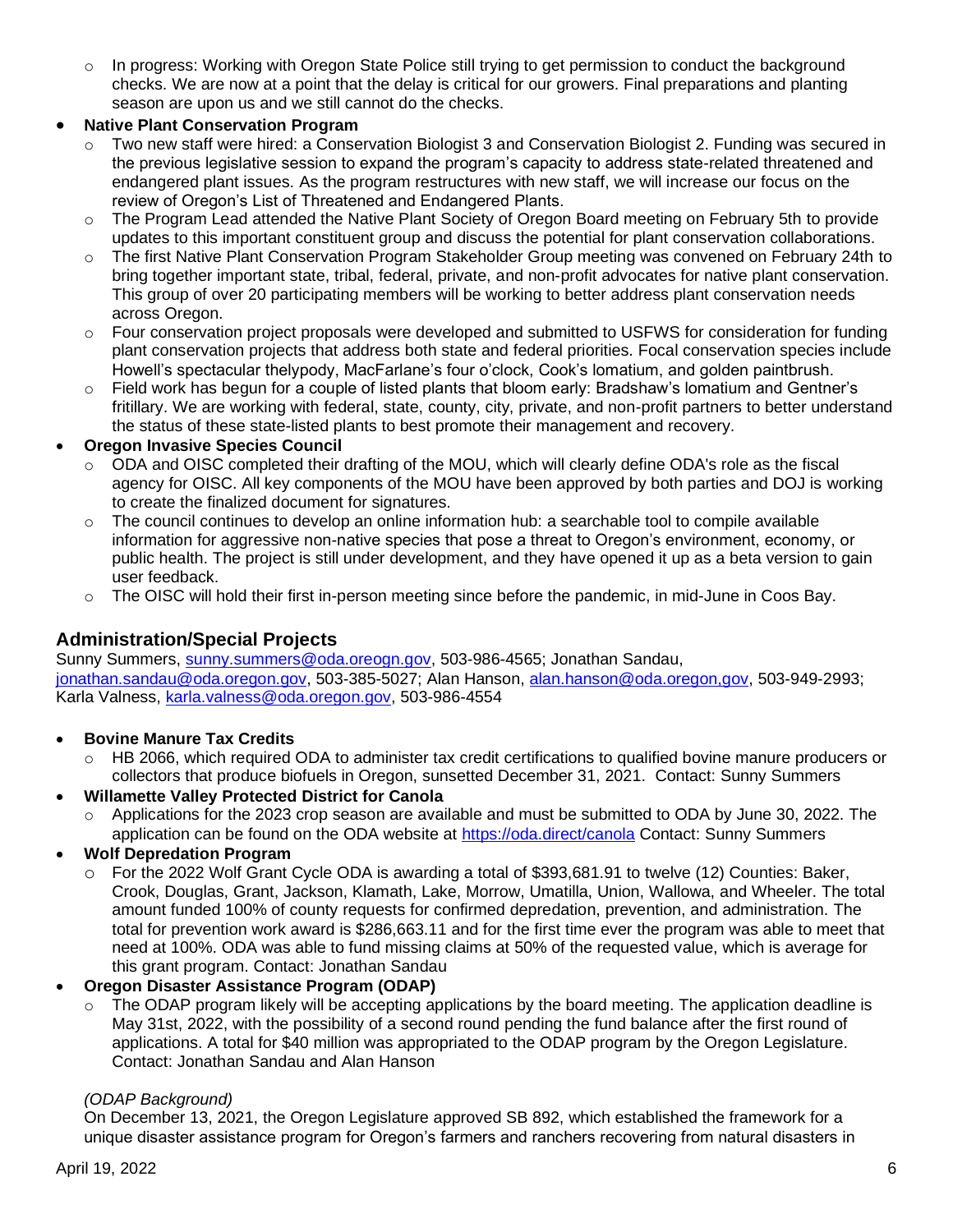$\circ$  In progress: Working with Oregon State Police still trying to get permission to conduct the background checks. We are now at a point that the delay is critical for our growers. Final preparations and planting season are upon us and we still cannot do the checks.

# • **Native Plant Conservation Program**

- Two new staff were hired: a Conservation Biologist 3 and Conservation Biologist 2. Funding was secured in the previous legislative session to expand the program's capacity to address state-related threatened and endangered plant issues. As the program restructures with new staff, we will increase our focus on the review of Oregon's List of Threatened and Endangered Plants.
- o The Program Lead attended the Native Plant Society of Oregon Board meeting on February 5th to provide updates to this important constituent group and discuss the potential for plant conservation collaborations.
- o The first Native Plant Conservation Program Stakeholder Group meeting was convened on February 24th to bring together important state, tribal, federal, private, and non-profit advocates for native plant conservation. This group of over 20 participating members will be working to better address plant conservation needs across Oregon.
- Four conservation project proposals were developed and submitted to USFWS for consideration for funding plant conservation projects that address both state and federal priorities. Focal conservation species include Howell's spectacular thelypody, MacFarlane's four o'clock, Cook's lomatium, and golden paintbrush.
- o Field work has begun for a couple of listed plants that bloom early: Bradshaw's lomatium and Gentner's fritillary. We are working with federal, state, county, city, private, and non-profit partners to better understand the status of these state-listed plants to best promote their management and recovery.

# • **Oregon Invasive Species Council**

- o ODA and OISC completed their drafting of the MOU, which will clearly define ODA's role as the fiscal agency for OISC. All key components of the MOU have been approved by both parties and DOJ is working to create the finalized document for signatures.
- $\circ$  The council continues to develop an online information hub: a searchable tool to compile available information for aggressive non-native species that pose a threat to Oregon's environment, economy, or public health. The project is still under development, and they have opened it up as a beta version to gain user feedback.
- $\circ$  The OISC will hold their first in-person meeting since before the pandemic, in mid-June in Coos Bay.

# **Administration/Special Projects**

Sunny Summers, [sunny.summers@oda.oreogn.gov,](mailto:sunny.summers@oda.oreogn.gov) 503-986-4565; Jonathan Sandau, [jonathan.sandau@oda.oregon.gov,](mailto:jonathan.sandau@oda.oregon.gov) 503-385-5027; Alan Hanson, [alan.hanson@oda.oregon,gov,](mailto:alan.hanson@oda.oregon,gov) 503-949-2993; Karla Valness, [karla.valness@oda.oregon.gov,](mailto:karla.valness@oda.oregon.gov) 503-986-4554

# • **Bovine Manure Tax Credits**

o HB 2066, which required ODA to administer tax credit certifications to qualified bovine manure producers or collectors that produce biofuels in Oregon, sunsetted December 31, 2021. Contact: Sunny Summers

# • **Willamette Valley Protected District for Canola**

 $\circ$  Applications for the 2023 crop season are available and must be submitted to ODA by June 30, 2022. The application can be found on the ODA website at <https://oda.direct/canola> Contact: Sunny Summers

# • **Wolf Depredation Program**

o For the 2022 Wolf Grant Cycle ODA is awarding a total of \$393,681.91 to twelve (12) Counties: Baker, Crook, Douglas, Grant, Jackson, Klamath, Lake, Morrow, Umatilla, Union, Wallowa, and Wheeler. The total amount funded 100% of county requests for confirmed depredation, prevention, and administration. The total for prevention work award is \$286,663.11 and for the first time ever the program was able to meet that need at 100%. ODA was able to fund missing claims at 50% of the requested value, which is average for this grant program. Contact: Jonathan Sandau

# • **Oregon Disaster Assistance Program (ODAP)**

 $\circ$  The ODAP program likely will be accepting applications by the board meeting. The application deadline is May 31st, 2022, with the possibility of a second round pending the fund balance after the first round of applications. A total for \$40 million was appropriated to the ODAP program by the Oregon Legislature. Contact: Jonathan Sandau and Alan Hanson

# *(ODAP Background)*

On December 13, 2021, the Oregon Legislature approved SB 892, which established the framework for a unique disaster assistance program for Oregon's farmers and ranchers recovering from natural disasters in